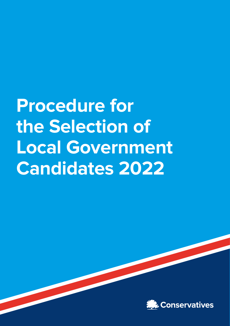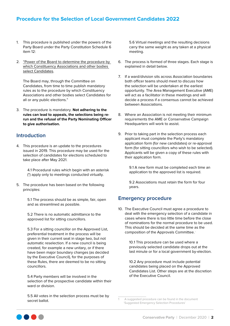- 1. This procedure is published under the powers of the Party Board under the Party Constitution Schedule 6 item 12:
- 2. "Power of the Board to determine the procedure by which Constituency Associations and other bodies select Candidates.

The Board may, through the Committee on Candidates, from time to time publish mandatory rules as to the procedure by which Constituency Associations and other bodies select Candidates for all or any public elections."

3. The procedure is mandatory. **Not adhering to the rules can lead to appeals, the selections being rerun and the refusal of the Party Nominating Officer to give authorisation.** 

# **Introduction**

4. This procedure is an update to the procedures issued in 2019. This procedure may be used for the selection of candidates for elections scheduled to take place after May 2021.

> 4.1 Procedural rules which begin with an asterisk (\*) apply only to meetings conducted virtually.

5. The procedure has been based on the following principles:

> 5.1 The process should be as simple, fair, open and as streamlined as possible.

5.2 There is no automatic admittance to the approved list for sitting councillors.

5.3 For a sitting councillor on the Approved List, preferential treatment in the process will be given in their current seat in stage two, but not automatic reselection. If a new council is being created, for example a new unitary, or if there have been major boundary changes (as decided by the Executive Council), for the purposes of these Rules, there are deemed to be no sitting councillors.

5.4 Party members will be involved in the selection of the prospective candidate within their ward or division.

5.5 All votes in the selection process must be by secret ballot.

5.6 Virtual meetings and the resulting decisions carry the same weight as any taken at a physical meeting.

- 6. The process is formed of three stages. Each stage is explained in detail below.
- 7. If a ward/division sits across Association boundaries both officer teams should meet to discuss how the selection will be undertaken at the earliest opportunity. The Area Management Executive (AME) will act as a facilitator in these meetings and will decide a process if a consensus cannot be achieved between Associations.
- 8. Where an Association is not meeting their minimum requirements the AME or Conservative Campaign Headquarters will work to assist.
- 9. Prior to taking part in the selection process each applicant must complete the Party's mandatory application form (for new candidates) or re-approval form (for sitting councillors who wish to be selected). Applicants will be given a copy of these rules with their application form.

9.1 A new form must be completed each time an application to the approved list is required.

9.2 Associations must retain the form for four years.

## **Emergency procedure**

10. The Executive Council must agree a procedure to deal with the emergency selection of a candidate in cases where there is too little time before the close of nominations for the normal procedure to be used. This should be decided at the same time as the composition of the Approvals Committee. <sup>1</sup>

> 10.1 This procedure can be used where a previously selected candidate drops out at the last minute or for a local government by-election.

> 10.2 Any procedure must include potential candidates being placed on the Approved Candidates List. Other steps are at the discretion of the Executive Council.



<sup>1</sup> A suggested procedure can be found in the document 'Suggested Emergency Selection Procedures'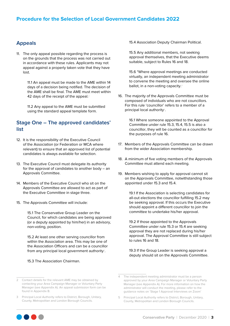## **Appeals**

11. The only appeal possible regarding the process is on the grounds that the process was not carried out in accordance with these rules. Applicants may not appeal against a properly taken vote that they have lost.

> 11.1 An appeal must be made to the AME within 14 days of a decision being notified. The decision of the AME shall be final. The AME must meet within 42 days of the receipt of the appeal.<sup>2</sup>

11.2 Any appeal to the AME must be submitted using the standard appeal template form.

## **Stage One – The approved candidates' list**

- 12. It is the responsibility of the Executive Council of the Association (or Federation or MCA where relevant) to ensure that an approved list of potential candidates is always available for selection.
- 13. The Executive Council must delegate its authority for the approval of candidates to another body – an Approvals Committee.
- 14. Members of the Executive Council who sit on the Approvals Committee are allowed to act as part of the Executive Committee in stage three.
- 15. The Approvals Committee will include:

15.1 The Conservative Group Leader on the Council, for which candidates are being approved (or a deputy appointed by him/her) in an advisory, non-voting, position.

15.2 At least one other serving councillor from within the Association area. This may be one of the Association Officers and can be a councillor from any principal local government authority<sup>3</sup>.

15.3 The Association Chairman.

15.4 Association Deputy Chairman Political.

15.5 Any additional members, not seeking approval themselves, that the Executive deems suitable, subject to Rules 16 and 18.

15.6 \*Where approval meetings are conducted virtually, an independent meeting administrator to convene the meeting and oversee the online ballot, in a non-voting capacity.<sup>4</sup>

16. The majority of the Approvals Committee must be composed of individuals who are not councillors. For this rule 'councillor' refers to a member of a principal local authority<sup>5</sup>.

> 16.1 Where someone appointed to the Approval Committee under rule 15.3, 15.4, 15.5 is also a councillor, they will be counted as a councillor for the purposes of rule 16.

- 17. Members of the Approvals Committee can be drawn from the wider Association membership.
- 18. A minimum of five voting members of the Approvals Committee must attend each meeting.
- 19. Members wishing to apply for approval cannot sit on the Approvals Committee, notwithstanding those appointed under 15.3 and 15.4.

19.1 If the Association is selecting candidates for all-out elections the councillor fulfilling 15.2 may be seeking approval. If this occurs the Executive should appoint a different councillor to join the committee to undertake his/her approval.

19.2 If those appointed to the Approvals Committee under rule 15.3 or 15.4 are seeking approval they are not replaced during his/her approval. The Approval Committee is still subject to rules 16 and 18.

19.3 If the Group Leader is seeking approval a deputy should sit on the Approvals Committee.



<sup>2</sup> Contact details for the relevant AME may be obtained by contacting your Area Campaign Manager or Voluntary Party Manager (see Appendix A). An appeal submission form can be found in Appendix B.

<sup>3</sup> Principal Local Authority refers to District, Borough, Unitary, County, Metropolitan and London Borough Councils.

<sup>4</sup> The independent meeting administrator must be a person approved by your Area Campaign Manager or Voluntary Party Manager (see Appendix A). For more information on how the administrator will conduct the meeting, please refer to the guidance notes on 'Stage 1 Approval Interviews on Zoom'

<sup>5</sup> Principal Local Authority refers to District, Borough, Unitary, County, Metropolitan and London Borough Councils.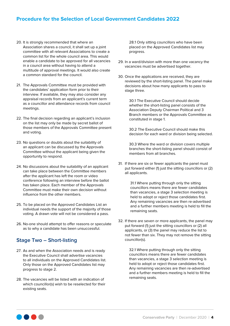- 20. It is strongly recommended that where an Association shares a council, it shall set up a joint committee with all relevant Associations to create a common list for the whole council area. This would enable a candidate to be approved for all vacancies in a council area without having to attend a multitude of approval meetings. It would also create a common standard for the council.
- 21. The Approvals Committee must be provided with the candidates' application form prior to their interview. If available, they may also consider any appraisal records from an applicant's current term as a councillor and attendance records from council meetings.
- 22. The final decision regarding an applicant's inclusion on the list may only be made by secret ballot of those members of the Approvals Committee present and voting.
- 23. No questions or doubts about the suitability of an applicant can be discussed by the Approvals Committee without the applicant being given the opportunity to respond.
- 24. No discussions about the suitability of an applicant can take place between the Committee members after the applicant has left the room or video conference following an interview before the ballot has taken place. Each member of the Approvals Committee must make their own decision without influence from the other members.
- 25. To be placed on the Approved Candidates List an individual needs the support of the majority of those voting. A drawn vote will not be considered a pass.
- 26. No-one should attempt to offer reasons or speculate as to why a candidate has been unsuccessful.

# **Stage Two – Short-listing**

- 27. As and when the Association needs and is ready the Executive Council shall advertise vacancies to all individuals on the Approved Candidates list. Only those on the Approved Candidates list may progress to stage 2.
- 28. The vacancies will be listed with an indication of which councillor(s) wish to be reselected for their existing seats.

28.1 Only sitting councillors who have been placed on the Approved Candidates list may progress.

- 29. In a ward/division with more than one vacancy the vacancies must be advertised together.
- 30. Once the applications are received, they are reviewed by the short-listing panel. The panel make decisions about how many applicants to pass to stage three.

30.1 The Executive Council should decide whether the short-listing panel consists of the Association Deputy Chairman Political and 3 Branch members or the Approvals Committee as constituted in stage 1.

30.2 The Executive Council should make this decision for each ward or division being selected.

30.3 Where the ward or division covers multiple branches the short-listing panel should consist of members from all branches.

31. If there are six or fewer applicants the panel must put forward either (1) just the sitting councillors or (2) all applicants.

> 31.1 Where putting through only the sitting councillors means there are fewer candidates than vacancies, a stage 3 selection meeting is held to adopt or reject those candidates first. Any remaining vacancies are then re-advertised and a further members meeting is held to fill the remaining seats.

32. If there are seven or more applicants, the panel may put forward (1) just the sitting councillors or (2) all applicants, or (3) the panel may reduce the list to not fewer than six. They may not remove the sitting councillor(s).

> 32.1 Where putting through only the sitting councillors means there are fewer candidates than vacancies, a stage 3 selection meeting is held to adopt or reject those candidates first. Any remaining vacancies are then re-advertised and a further members meeting is held to fill the remaining seats.

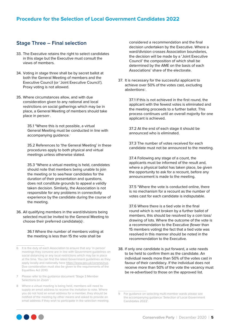## **Stage Three – Final selection**

- 33. The Executive retains the right to select candidates in this stage but the Executive must consult the views of members.
- 34. Voting in stage three shall be by secret ballot at both the General Meeting of members and the Executive Council (or 'Joint Executive Council'). Proxy voting is not allowed.
- 35. Where circumstances allow, and with due consideration given to any national and local restrictions on social gatherings which may be in place, a General Meeting of members should take place in person<sup>6</sup>.

35.1 \*Where this is not possible, a virtual General Meeting must be conducted in line with accompanying quidance.<sup>7</sup>

35.2 References to 'the General Meeting' in these procedures apply to both physical and virtual meetings unless otherwise stated.

35.3 \*Where a virtual meeting is held, candidates should note that members being unable to join the meeting or to see/hear candidates for the duration of their presentation and questions, does not constitute grounds to appeal a validly taken decision. Similarly, the Association is not responsible for any problems in connectivity experience by the candidate during the course of the meeting.

36. All qualifying members in the ward/divisions being selected must be invited to the General Meeting to choose their preferred candidate(s) $8$ .

> 36.1 Where the number of members voting at the meeting is less than 15 the vote shall be

considered a recommendation and the final decision undertaken by the Executive. Where a ward/division crosses Association boundaries, the decision will be made by a 'Joint Executive Council' the composition of which shall be determined by the AME on the basis of each Associations' share of the electorate.

37. It is necessary for the successful applicant to achieve over 50% of the votes cast, excluding abstentions<sup>9</sup>.

> 37.1 If this is not achieved in the first round, the applicant with the fewest votes is eliminated and the meeting proceeds to a further ballot. This process continues until an overall majority for one applicant is achieved.

37.2 At the end of each stage it should be announced who is eliminated.

37.3 The number of votes received for each candidate must not be announced to the meeting.

37.4 Following any stage of a count, the applicants must be informed of the result and, where a physical ballot has taken place, be given the opportunity to ask for a recount, before any announcement is made to the meeting.

37.5 \*Where the vote is conducted online, there is no mechanism for a recount as the number of votes cast for each candidate is indisputable.

37.6 Where there is a tied vote in the final round which is not broken by a further ballot of members, this should be resolved by a coin toss/ drawing of lots. Where the outcome of the vote is a recommendation to the Executive (fewer than 15 members voting) the fact that a tied vote was resolved in this manner should be noted in the recommendation to the Executive.

38. If only one candidate is put forward, a vote needs to be held to confirm them as the candidate. An individual needs more than 50% of the votes cast in favour of their candidacy. If the individual does not receive more than 50% of the vote the vacancy must be re-advertised to those on the approved list.



<sup>6</sup> It is the duty of each Association to ensure that any 'in person' meetings they convene are in line with Government guidelines on social distancing or any local restrictions which may be in place at the time. You can find the latest Government guidelines as they apply locally and nationally here <https://www.gov.uk/coronavirus>. Due consideration must also be given to the requirements of the Equalities Act 2010.

<sup>7</sup> Please refer to the guidance document 'Stage 3 Member Selections on Zoom '.

<sup>8</sup> Where a virtual meeting is being held, members will need to supply an email address to receive the invitation to vote. Where you do not hold an email address for a member, they should be notified of the meeting by other means and asked to provide an email address if they wish to participate in the selection meeting.

<sup>9</sup> For guidance on selecting multi-member wards please see the accompanying guidance 'Selection of Local Government Candidates 2022'.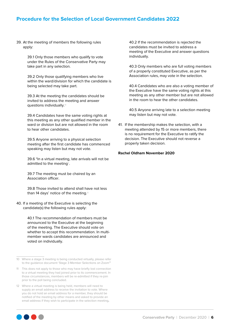39. At the meeting of members the following rules apply:

> 39.1 Only those members who qualify to vote under the Rules of the Conservative Party may take part in any selection.

39.2 Only those qualifying members who live within the ward/division for which the candidate is being selected may take part.

39.3 At the meeting the candidates should be invited to address the meeting and answer questions individually.10

39.4 Candidates have the same voting rights at this meeting as any other qualified member in the ward or division but are not allowed in the room to hear other candidates.

39.5 Anyone arriving to a physical selection meeting after the first candidate has commenced speaking may listen but may not vote.

39.6 \*In a virtual meeting, late arrivals will not be admitted to the meeting<sup>11</sup>.

39.7 The meeting must be chaired by an Association officer.

39.8 Those invited to attend shall have not less than 14 days' notice of the meeting.<sup>12</sup>

40. If a meeting of the Executive is selecting the candidate(s) the following rules apply:

> 40.1 The recommendation of members must be announced to the Executive at the beginning of the meeting. The Executive should vote on whether to accept this recommendation. In multimember wards candidates are announced and voted on individually.

40.2 If the recommendation is rejected the candidates must be invited to address a meeting of the Executive and answer questions individually.

40.3 Only members who are full voting members of a properly constituted Executive, as per the Association rules, may vote in the selection.

40.4 Candidates who are also a voting member of the Executive have the same voting rights at this meeting as any other member but are not allowed in the room to hear the other candidates.

40.5 Anyone arriving late to a selection meeting may listen but may not vote.

41. If the membership makes the selection, with a meeting attended by 15 or more members, there is no requirement for the Executive to ratify the decision. The Executive should not reverse a properly taken decision.

## **Rachel Oldham November 2020**



<sup>10</sup> Where a stage 3 meeting is being conducted virtually, please refer to the guidance document 'Stage 3 Member Selections on Zoom''

<sup>11</sup> This does not apply to those who may have briefly lost connection to a virtual meeting they had joined prior to its commencement. In those circumstances, members will be re-admitted if they re-join prior to the poll being concluded.

<sup>12</sup> Where a virtual meeting is being held, members will need to supply an email address to receive the invitation to vote. Where you do not hold an email address for a member, they should be notified of the meeting by other means and asked to provide an email address if they wish to participate in the selection meeting.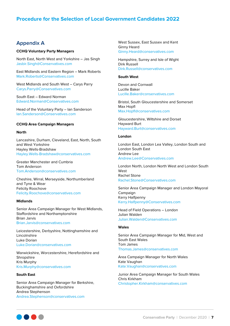## **Appendix A**

## **CCHQ Voluntary Party Managers**

North East, North West and Yorkshire – Jas Singh [Jasbir.Singh@Conservatives.com](mailto:Jasbir.Singh@Conservatives.com)

East Midlands and Eastern Region – Mark Roberts [Mark.Roberts@Conservatives.com](mailto:Mark.Roberts@Conservatives.com)

West Midlands and South West – Carys Parry [Carys.Parry@Conservatives.com](mailto:Carys.Parry@Conservatives.com)

South East – Edward Norman [Edward.Norman@Conservatives.com](mailto:Edward.Norman@Conservatives.com)

Head of the Voluntary Party – Ian Sanderson [Ian.Sanderson@Conservatives.com](mailto:Ian.Sanderson@Conservatives.com)

#### **CCHQ Area Campaign Managers**

#### **North**

Lancashire, Durham, Cleveland, East, North, South and West Yorkshire Hayley Wells-Bradshaw [Hayley.Wells-Bradshaw@conservatives.com](mailto:Hayley.Wells-Bradshaw@conservatives.com)

Greater Manchester and Cumbria Tom Anderson [Tom.Anderson@conservatives.com](mailto:Tom.Anderson@conservatives.com)

Cheshire, Wirral, Merseyside, Northumberland and Tyne & Wear Felicity Roochove [Felicity.Roochove@conservatives.com](mailto:Felicity.Roochove@conservatives.com)

## **Midlands**

Senior Area Campaign Manager for West Midlands, Staffordshire and Northamptonshire Brian Jarvis [Brian.Jarvis@conservatives.com](mailto:Brian.Jarvis@conservatives.com)

Leicestershire, Derbyshire, Nottinghamshire and Lincolnshire Luke Dorian [Luke.Dorian@conservatives.com](mailto:Luke.Dorian@conservatives.com)

Warwickshire, Worcestershire, Herefordshire and **Shropshire** Kris Murphy [Kris.Murphy@conservatives.com](mailto:Kris.Murphy@conservatives.com)

## **South East**

Senior Area Campaign Manager for Berkshire, Buckinghamshire and Oxfordshire Andrea Stephenson [Andrea.Stephenson@conservatives.com](mailto:Andrea.Stephenson@conservatives.com)

West Sussex, East Sussex and Kent Ginny Heard [Ginny.Heard@conservatives.com](mailto:Ginny.Heard@conservatives.com)

Hampshire, Surrey and Isle of Wight Dirk Russell [Dirk.Russell@conservatives.com](mailto:Dirk.Russell@conservatives.com)

#### **South West**

Devon and Cornwall Lucille Baker [Lucille.Baker@conservatives.com](mailto:Lucille.Baker@conservatives.com)

Bristol, South Gloucestershire and Somerset Max Hopfl [Max.Hopfl@conservatives.com](mailto:Max.Hopfl@conservatives.com)

Gloucestershire, Wiltshire and Dorset Hayward Burt [Hayward.Burt@conservatives.com](mailto:Hayward.Burt@conservatives.com)

#### **London**

London East, London Lea Valley, London South and London South East Andrew Lee [Andrew.Lee@Conservatives.com](mailto:Andrew.Lee@Conservatives.com)

London North, London North West and London South West Rachel Stone [Rachel.Stone@Conservatives.com](mailto:Rachel.Stone@Conservatives.com)

Senior Area Campaign Manager and London Mayoral Campaign Kerry Halfpenny [Kerry.Halfpenny@Conservatives.com](mailto:Kerry.Halfpenny@Conservatives.com)

Head of Field Operations – London Julian Walden [Julian.Walden@Conservatives.com](mailto:Julian.Walden@Conservatives.com)

## **Wales**

Senior Area Campaign Manager for Mid, West and South East Wales Tom James [Thomas.James@conservatives.com](mailto:Thomas.James@conservatives.com)

Area Campaign Manager for North Wales Kate Vaughan [Kate.Vaughan@conservatives.com](mailto:Kate.Vaughan@conservatives.com)

Junior Area Campaign Manager for South Wales Chris Kirkham [Christopher.Kirkham@conservatives.com](mailto:Christopher.Kirkham@conservatives.com)